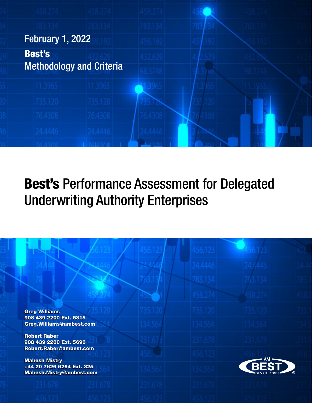

| <b>Greg Williams</b>                                                          |  |                   |             |
|-------------------------------------------------------------------------------|--|-------------------|-------------|
| 908 439 2200 Ext. 5815<br>Greg. Williams@ambest.com                           |  |                   |             |
| <b>Robert Raber</b><br>908 439 2200 Ext. 5696                                 |  |                   |             |
| Robert.Raber@ambest.com                                                       |  |                   |             |
| <b>Mahesh Mistry</b><br>+44 20 7626 6264 Ext. 325<br>Mahesh.Mistry@ambest.com |  | <b>SINCE 1899</b> | $\circledR$ |
|                                                                               |  |                   |             |
|                                                                               |  |                   |             |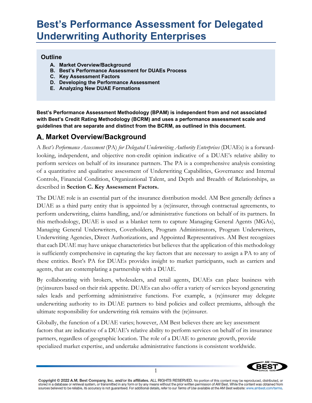#### **Outline**

- **A. Market Overview/Background**
- **B. Best's Performance Assessment for DUAEs Process**
- **C. Key Assessment Factors**
- **D. Developing the Performance Assessment**
- **E. Analyzing New DUAE Formations**

**Best's Performance Assessment Methodology (BPAM) is independent from and not associated with Best's Credit Rating Methodology (BCRM) and uses a performance assessment scale and guidelines that are separate and distinct from the BCRM, as outlined in this document.** 

### **Market Overview/Background**

A *Best's Performance Assessment* (PA) *for Delegated Underwriting Authority Enterprises* (DUAEs) is a forwardlooking, independent, and objective non-credit opinion indicative of a DUAE's relative ability to perform services on behalf of its insurance partners. The PA is a comprehensive analysis consisting of a quantitative and qualitative assessment of Underwriting Capabilities, Governance and Internal Controls, Financial Condition, Organizational Talent, and Depth and Breadth of Relationships, as described in **Section C. Key Assessment Factors.**

The DUAE role is an essential part of the insurance distribution model. AM Best generally defines a DUAE as a third party entity that is appointed by a (re)insurer, through contractual agreements, to perform underwriting, claims handling, and/or administrative functions on behalf of its partners. In this methodology, DUAE is used as a blanket term to capture Managing General Agents (MGAs), Managing General Underwriters, Coverholders, Program Administrators, Program Underwriters, Underwriting Agencies, Direct Authorizations, and Appointed Representatives. AM Best recognizes that each DUAE may have unique characteristics but believes that the application of this methodology is sufficiently comprehensive in capturing the key factors that are necessary to assign a PA to any of these entities. Best's PA for DUAEs provides insight to market participants, such as carriers and agents, that are contemplating a partnership with a DUAE.

By collaborating with brokers, wholesalers, and retail agents, DUAEs can place business with (re)insurers based on their risk appetite. DUAEs can also offer a variety of services beyond generating sales leads and performing administrative functions. For example, a (re)insurer may delegate underwriting authority to its DUAE partners to bind policies and collect premiums, although the ultimate responsibility for underwriting risk remains with the (re)insurer.

Globally, the function of a DUAE varies; however, AM Best believes there are key assessment factors that are indicative of a DUAE's relative ability to perform services on behalf of its insurance partners, regardless of geographic location. The role of a DUAE to generate growth, provide specialized market expertise, and undertake administrative functions is consistent worldwide.

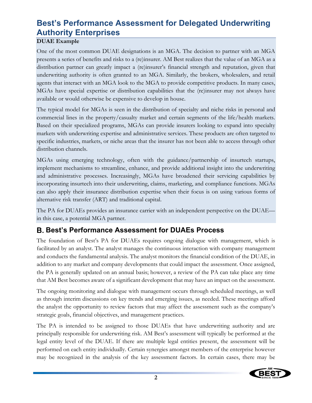### **DUAE Example**

One of the most common DUAE designations is an MGA. The decision to partner with an MGA presents a series of benefits and risks to a (re)insurer. AM Best realizes that the value of an MGA as a distribution partner can greatly impact a (re)insurer's financial strength and reputation, given that underwriting authority is often granted to an MGA. Similarly, the brokers, wholesalers, and retail agents that interact with an MGA look to the MGA to provide competitive products. In many cases, MGAs have special expertise or distribution capabilities that the (re)insurer may not always have available or would otherwise be expensive to develop in house.

The typical model for MGAs is seen in the distribution of specialty and niche risks in personal and commercial lines in the property/casualty market and certain segments of the life/health markets. Based on their specialized programs, MGAs can provide insurers looking to expand into specialty markets with underwriting expertise and administrative services. These products are often targeted to specific industries, markets, or niche areas that the insurer has not been able to access through other distribution channels.

MGAs using emerging technology, often with the guidance/partnership of insurtech startups, implement mechanisms to streamline, enhance, and provide additional insight into the underwriting and administrative processes. Increasingly, MGAs have broadened their servicing capabilities by incorporating insurtech into their underwriting, claims, marketing, and compliance functions. MGAs can also apply their insurance distribution expertise when their focus is on using various forms of alternative risk transfer (ART) and traditional capital.

The PA for DUAEs provides an insurance carrier with an independent perspective on the DUAE in this case, a potential MGA partner.

### **B. Best's Performance Assessment for DUAEs Process**

The foundation of Best's PA for DUAEs requires ongoing dialogue with management, which is facilitated by an analyst. The analyst manages the continuous interaction with company management and conducts the fundamental analysis. The analyst monitors the financial condition of the DUAE, in addition to any market and company developments that could impact the assessment. Once assigned, the PA is generally updated on an annual basis; however, a review of the PA can take place any time that AM Best becomes aware of a significant development that may have an impact on the assessment.

The ongoing monitoring and dialogue with management occurs through scheduled meetings, as well as through interim discussions on key trends and emerging issues, as needed. These meetings afford the analyst the opportunity to review factors that may affect the assessment such as the company's strategic goals, financial objectives, and management practices.

The PA is intended to be assigned to those DUAEs that have underwriting authority and are principally responsible for underwriting risk. AM Best's assessment will typically be performed at the legal entity level of the DUAE. If there are multiple legal entities present, the assessment will be performed on each entity individually. Certain synergies amongst members of the enterprise however may be recognized in the analysis of the key assessment factors. In certain cases, there may be

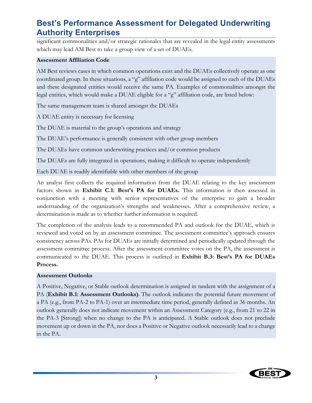significant commonalities and/or strategic rationales that are revealed in the legal entity assessments which may lead AM Best to take a group view of a set of DUAEs.

#### **Assessment Affiliation Code**

AM Best reviews cases in which common operations exist and the DUAEs collectively operate as one coordinated group. In these situations, a "g" affiliation code would be assigned to each of the DUAEs and these designated entities would receive the same PA. Examples of commonalities amongst the legal entities, which would make a DUAE eligible for a "g" affiliation code, are listed below:

The same management team is shared amongst the DUAEs

A DUAE entity is necessary for licensing

The DUAE is material to the group's operations and strategy

The DUAE's performance is generally consistent with other group members

The DUAEs have common underwriting practices and/or common products

The DUAEs are fully integrated in operations, making it difficult to operate independently

Each DUAE is readily identifiable with other members of the group

An analyst first collects the required information from the DUAE relating to the key assessment factors shown in **Exhibit C.1: Best's PA for DUAEs.** This information is then assessed in conjunction with a meeting with senior representatives of the enterprise to gain a broader understanding of the organization's strengths and weaknesses. After a comprehensive review, a determination is made as to whether further information is required.

The completion of the analysis leads to a recommended PA and outlook for the DUAE, which is reviewed and voted on by an assessment committee. The assessment committee's approach ensures consistency across PAs. PAs for DUAEs are initially determined and periodically updated through the assessment committee process. After the assessment committee votes on the PA, the assessment is communicated to the DUAE. This process is outlined in **Exhibit B.3: Best's PA for DUAEs Process.** 

#### **Assessment Outlooks**

A Positive, Negative, or Stable outlook determination is assigned in tandem with the assignment of a PA (**Exhibit B.1: Assessment Outlooks)**. The outlook indicates the potential future movement of a PA (e.g., from PA-2 to PA-1) over an intermediate time period, generally defined as 36 months. An outlook generally does not indicate movement within an Assessment Category (e.g., from 21 to 22 in the PA-3 [Strong]) when no change to the PA is anticipated. A Stable outlook does not preclude movement up or down in the PA, nor does a Positive or Negative outlook necessarily lead to a change in the PA.

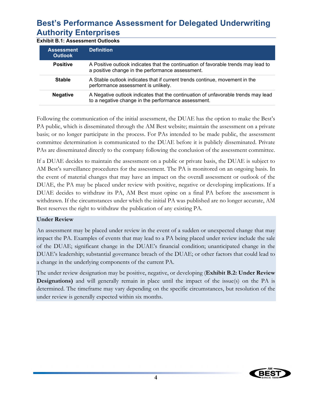**Exhibit B.1: Assessment Outlooks**

| <b>Assessment</b><br><b>Outlook</b> | <b>Definition</b>                                                                                                                        |  |  |  |  |
|-------------------------------------|------------------------------------------------------------------------------------------------------------------------------------------|--|--|--|--|
| <b>Positive</b>                     | A Positive outlook indicates that the continuation of favorable trends may lead to<br>a positive change in the performance assessment.   |  |  |  |  |
| <b>Stable</b>                       | A Stable outlook indicates that if current trends continue, movement in the<br>performance assessment is unlikely.                       |  |  |  |  |
| <b>Negative</b>                     | A Negative outlook indicates that the continuation of unfavorable trends may lead<br>to a negative change in the performance assessment. |  |  |  |  |

Following the communication of the initial assessment, the DUAE has the option to make the Best's PA public, which is disseminated through the AM Best website; maintain the assessment on a private basis; or no longer participate in the process. For PAs intended to be made public, the assessment committee determination is communicated to the DUAE before it is publicly disseminated. Private PAs are disseminated directly to the company following the conclusion of the assessment committee.

If a DUAE decides to maintain the assessment on a public or private basis, the DUAE is subject to AM Best's surveillance procedures for the assessment. The PA is monitored on an ongoing basis. In the event of material changes that may have an impact on the overall assessment or outlook of the DUAE, the PA may be placed under review with positive, negative or developing implications. If a DUAE decides to withdraw its PA, AM Best must opine on a final PA before the assessment is withdrawn. If the circumstances under which the initial PA was published are no longer accurate, AM Best reserves the right to withdraw the publication of any existing PA.

#### **Under Review**

An assessment may be placed under review in the event of a sudden or unexpected change that may impact the PA. Examples of events that may lead to a PA being placed under review include the sale of the DUAE; significant change in the DUAE's financial condition; unanticipated change in the DUAE's leadership; substantial governance breach of the DUAE; or other factors that could lead to a change in the underlying components of the current PA.

The under review designation may be positive, negative, or developing (**Exhibit B.2: Under Review Designations**) and will generally remain in place until the impact of the issue(s) on the PA is determined. The timeframe may vary depending on the specific circumstances, but resolution of the under review is generally expected within six months.

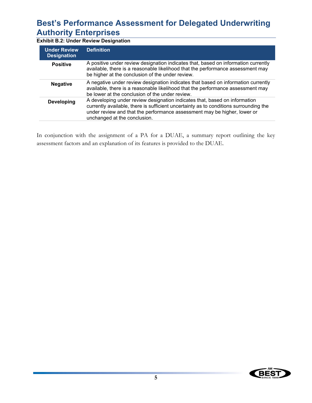**Exhibit B.2: Under Review Designation**

| <b>Under Review</b><br><b>Designation</b> | <b>Definition</b>                                                                                                                                                                                                                                                               |
|-------------------------------------------|---------------------------------------------------------------------------------------------------------------------------------------------------------------------------------------------------------------------------------------------------------------------------------|
| <b>Positive</b>                           | A positive under review designation indicates that, based on information currently<br>available, there is a reasonable likelihood that the performance assessment may<br>be higher at the conclusion of the under review.                                                       |
| <b>Negative</b>                           | A negative under review designation indicates that based on information currently<br>available, there is a reasonable likelihood that the performance assessment may<br>be lower at the conclusion of the under review.                                                         |
| <b>Developing</b>                         | A developing under review designation indicates that, based on information<br>currently available, there is sufficient uncertainty as to conditions surrounding the<br>under review and that the performance assessment may be higher, lower or<br>unchanged at the conclusion. |

In conjunction with the assignment of a PA for a DUAE, a summary report outlining the key assessment factors and an explanation of its features is provided to the DUAE.

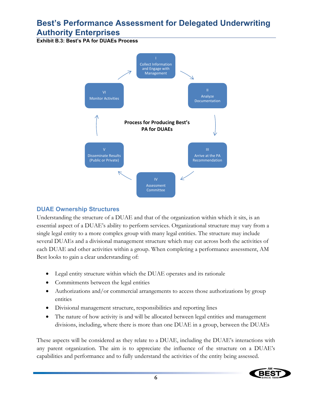**Exhibit B.3: Best's PA for DUAEs Process**



### **DUAE Ownership Structures**

Understanding the structure of a DUAE and that of the organization within which it sits, is an essential aspect of a DUAE's ability to perform services. Organizational structure may vary from a single legal entity to a more complex group with many legal entities. The structure may include several DUAEs and a divisional management structure which may cut across both the activities of each DUAE and other activities within a group. When completing a performance assessment, AM Best looks to gain a clear understanding of:

- Legal entity structure within which the DUAE operates and its rationale
- Commitments between the legal entities
- Authorizations and/or commercial arrangements to access those authorizations by group entities
- Divisional management structure, responsibilities and reporting lines
- The nature of how activity is and will be allocated between legal entities and management divisions, including, where there is more than one DUAE in a group, between the DUAEs

These aspects will be considered as they relate to a DUAE, including the DUAE's interactions with any parent organization. The aim is to appreciate the influence of the structure on a DUAE's capabilities and performance and to fully understand the activities of the entity being assessed.

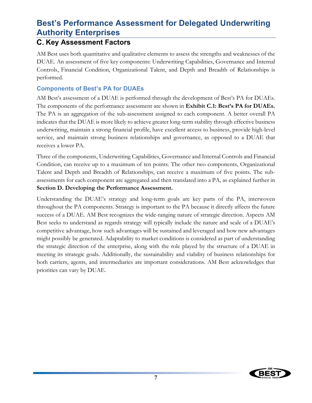### **C. Key Assessment Factors**

AM Best uses both quantitative and qualitative elements to assess the strengths and weaknesses of the DUAE. An assessment of five key components: Underwriting Capabilities, Governance and Internal Controls, Financial Condition, Organizational Talent, and Depth and Breadth of Relationships is performed.

### **Components of Best's PA for DUAEs**

AM Best's assessment of a DUAE is performed through the development of Best's PA for DUAEs. The components of the performance assessment are shown in **Exhibit C.1: Best's PA for DUAEs.** The PA is an aggregation of the sub-assessment assigned to each component. A better overall PA indicates that the DUAE is more likely to achieve greater long-term stability through effective business underwriting, maintain a strong financial profile, have excellent access to business, provide high-level service, and maintain strong business relationships and governance, as opposed to a DUAE that receives a lower PA.

Three of the components, Underwriting Capabilities, Governance and Internal Controls and Financial Condition, can receive up to a maximum of ten points. The other two components, Organizational Talent and Depth and Breadth of Relationships, can receive a maximum of five points. The subassessments for each component are aggregated and then translated into a PA, as explained further in **Section D. Developing the Performance Assessment.**

Understanding the DUAE's strategy and long-term goals are key parts of the PA, interwoven throughout the PA components. Strategy is important to the PA because it directly affects the future success of a DUAE. AM Best recognizes the wide-ranging nature of strategic direction. Aspects AM Best seeks to understand as regards strategy will typically include the nature and scale of a DUAE's competitive advantage, how such advantages will be sustained and leveraged and how new advantages might possibly be generated. Adaptability to market conditions is considered as part of understanding the strategic direction of the enterprise, along with the role played by the structure of a DUAE in meeting its strategic goals. Additionally, the sustainability and viability of business relationships for both carriers, agents, and intermediaries are important considerations. AM Best acknowledges that priorities can vary by DUAE.

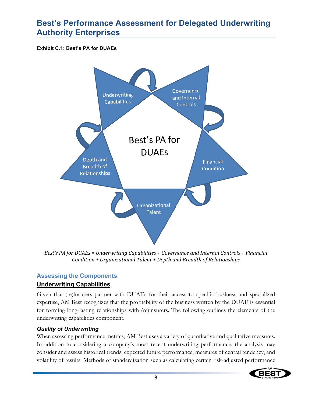#### **Exhibit C.1: Best's PA for DUAEs**



*Best's PA for DUAEs = Underwriting Capabilities + Governance and Internal Controls + Financial Condition + Organizational Talent + Depth and Breadth of Relationships* 

### **Assessing the Components**

### **Underwriting Capabilities**

Given that (re)insurers partner with DUAEs for their access to specific business and specialized expertise, AM Best recognizes that the profitability of the business written by the DUAE is essential for forming long-lasting relationships with (re)insurers. The following outlines the elements of the underwriting capabilities component.

#### *Quality of Underwriting*

When assessing performance metrics, AM Best uses a variety of quantitative and qualitative measures. In addition to considering a company's most recent underwriting performance, the analysis may consider and assess historical trends, expected future performance, measures of central tendency, and volatility of results. Methods of standardization such as calculating certain risk-adjusted performance

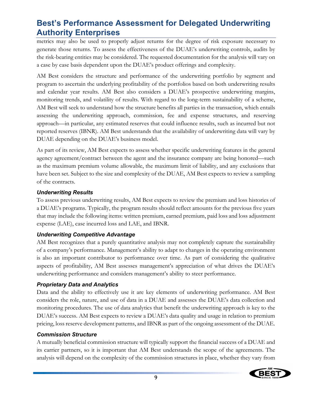metrics may also be used to properly adjust returns for the degree of risk exposure necessary to generate those returns. To assess the effectiveness of the DUAE's underwriting controls, audits by the risk-bearing entities may be considered. The requested documentation for the analysis will vary on a case by case basis dependent upon the DUAE's product offerings and complexity.

AM Best considers the structure and performance of the underwriting portfolio by segment and program to ascertain the underlying profitability of the portfolios based on both underwriting results and calendar year results. AM Best also considers a DUAE's prospective underwriting margins, monitoring trends, and volatility of results. With regard to the long-term sustainability of a scheme, AM Best will seek to understand how the structure benefits all parties in the transaction, which entails assessing the underwriting approach, commission, fee and expense structures, and reserving approach—in particular, any estimated reserves that could influence results, such as incurred but not reported reserves (IBNR). AM Best understands that the availability of underwriting data will vary by DUAE depending on the DUAE's business model.

As part of its review, AM Best expects to assess whether specific underwriting features in the general agency agreement/contract between the agent and the insurance company are being honored—such as the maximum premium volume allowable, the maximum limit of liability, and any exclusions that have been set. Subject to the size and complexity of the DUAE, AM Best expects to review a sampling of the contracts.

#### *Underwriting Results*

To assess previous underwriting results, AM Best expects to review the premium and loss histories of a DUAE's programs. Typically, the program results should reflect amounts for the previous five years that may include the following items: written premium, earned premium, paid loss and loss adjustment expense (LAE), case incurred loss and LAE, and IBNR.

#### *Underwriting Competitive Advantage*

AM Best recognizes that a purely quantitative analysis may not completely capture the sustainability of a company's performance. Management's ability to adapt to changes in the operating environment is also an important contributor to performance over time. As part of considering the qualitative aspects of profitability, AM Best assesses management's appreciation of what drives the DUAE's underwriting performance and considers management's ability to steer performance.

#### *Proprietary Data and Analytics*

Data and the ability to effectively use it are key elements of underwriting performance. AM Best considers the role, nature, and use of data in a DUAE and assesses the DUAE's data collection and monitoring procedures. The use of data analytics that benefit the underwriting approach is key to the DUAE's success. AM Best expects to review a DUAE's data quality and usage in relation to premium pricing, loss reserve development patterns, and IBNR as part of the ongoing assessment of the DUAE.

#### *Commission Structure*

A mutually beneficial commission structure will typically support the financial success of a DUAE and its carrier partners, so it is important that AM Best understands the scope of the agreements. The analysis will depend on the complexity of the commission structures in place, whether they vary from

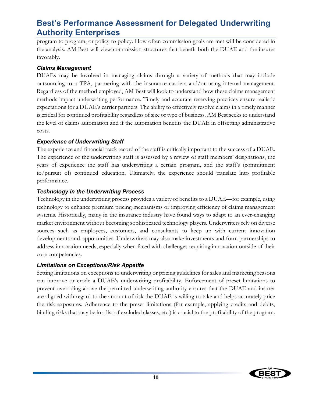program to program, or policy to policy. How often commission goals are met will be considered in the analysis. AM Best will view commission structures that benefit both the DUAE and the insurer favorably.

#### *Claims Management*

DUAEs may be involved in managing claims through a variety of methods that may include outsourcing to a TPA, partnering with the insurance carriers and/or using internal management. Regardless of the method employed, AM Best will look to understand how these claims management methods impact underwriting performance. Timely and accurate reserving practices ensure realistic expectations for a DUAE's carrier partners. The ability to effectively resolve claims in a timely manner is critical for continued profitability regardless of size or type of business. AM Best seeks to understand the level of claims automation and if the automation benefits the DUAE in offsetting administrative costs.

### *Experience of Underwriting Staff*

The experience and financial track record of the staff is critically important to the success of a DUAE. The experience of the underwriting staff is assessed by a review of staff members' designations, the years of experience the staff has underwriting a certain program, and the staff's (commitment to/pursuit of) continued education. Ultimately, the experience should translate into profitable performance.

#### *Technology in the Underwriting Process*

Technology in the underwriting process provides a variety of benefits to a DUAE—for example, using technology to enhance premium pricing mechanisms or improving efficiency of claims management systems. Historically, many in the insurance industry have found ways to adapt to an ever-changing market environment without becoming sophisticated technology players. Underwriters rely on diverse sources such as employees, customers, and consultants to keep up with current innovation developments and opportunities. Underwriters may also make investments and form partnerships to address innovation needs, especially when faced with challenges requiring innovation outside of their core competencies.

### *Limitations on Exceptions/Risk Appetite*

Setting limitations on exceptions to underwriting or pricing guidelines for sales and marketing reasons can improve or erode a DUAE's underwriting profitability. Enforcement of preset limitations to prevent overriding above the permitted underwriting authority ensures that the DUAE and insurer are aligned with regard to the amount of risk the DUAE is willing to take and helps accurately price the risk exposures. Adherence to the preset limitations (for example, applying credits and debits, binding risks that may be in a list of excluded classes, etc.) is crucial to the profitability of the program.

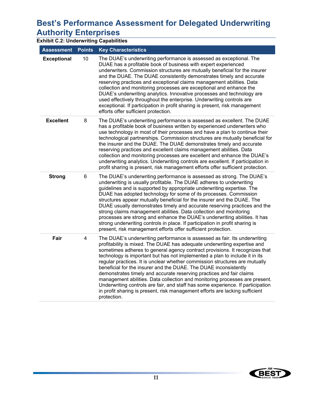# **Best's Performance Assessment for Delegated Underwriting Authority Enterprises**<br>**Exhibit C.2: Underwriting Capabiliti**

| <b>Exhibit C.2: Underwriting Capabilities</b> |                         |                                                                                                                                                                                                                                                                                                                                                                                                                                                                                                                                                                                                                                                                                                                                                                                                                 |  |  |  |
|-----------------------------------------------|-------------------------|-----------------------------------------------------------------------------------------------------------------------------------------------------------------------------------------------------------------------------------------------------------------------------------------------------------------------------------------------------------------------------------------------------------------------------------------------------------------------------------------------------------------------------------------------------------------------------------------------------------------------------------------------------------------------------------------------------------------------------------------------------------------------------------------------------------------|--|--|--|
| <b>Assessment</b>                             | <b>Points</b>           | <b>Key Characteristics</b>                                                                                                                                                                                                                                                                                                                                                                                                                                                                                                                                                                                                                                                                                                                                                                                      |  |  |  |
| <b>Exceptional</b>                            | 10                      | The DUAE's underwriting performance is assessed as exceptional. The<br>DUAE has a profitable book of business with expert experienced<br>underwriters. Commission structures are mutually beneficial for the insurer<br>and the DUAE. The DUAE consistently demonstrates timely and accurate<br>reserving practices and exceptional claims management abilities. Data<br>collection and monitoring processes are exceptional and enhance the<br>DUAE's underwriting analytics. Innovative processes and technology are<br>used effectively throughout the enterprise. Underwriting controls are<br>exceptional. If participation in profit sharing is present, risk management<br>efforts offer sufficient protection.                                                                                          |  |  |  |
| <b>Excellent</b>                              | 8                       | The DUAE's underwriting performance is assessed as excellent. The DUAE<br>has a profitable book of business written by experienced underwriters who<br>use technology in most of their processes and have a plan to continue their<br>technological partnerships. Commission structures are mutually beneficial for<br>the insurer and the DUAE. The DUAE demonstrates timely and accurate<br>reserving practices and excellent claims management abilities. Data<br>collection and monitoring processes are excellent and enhance the DUAE's<br>underwriting analytics. Underwriting controls are excellent. If participation in<br>profit sharing is present, risk management efforts offer sufficient protection.                                                                                            |  |  |  |
| <b>Strong</b>                                 | 6                       | The DUAE's underwriting performance is assessed as strong. The DUAE's<br>underwriting is usually profitable. The DUAE adheres to underwriting<br>guidelines and is supported by appropriate underwriting expertise. The<br>DUAE has adopted technology for some of its processes. Commission<br>structures appear mutually beneficial for the insurer and the DUAE. The<br>DUAE usually demonstrates timely and accurate reserving practices and the<br>strong claims management abilities. Data collection and monitoring<br>processes are strong and enhance the DUAE's underwriting abilities. It has<br>strong underwriting controls in place. If participation in profit sharing is<br>present, risk management efforts offer sufficient protection.                                                       |  |  |  |
| Fair                                          | $\overline{\mathbf{4}}$ | The DUAE's underwriting performance is assessed as fair. Its underwriting<br>profitability is mixed. The DUAE has adequate underwriting expertise and<br>sometimes adheres to general agency contract provisions. It recognizes that<br>technology is important but has not implemented a plan to include it in its<br>regular practices. It is unclear whether commission structures are mutually<br>beneficial for the insurer and the DUAE. The DUAE inconsistently<br>demonstrates timely and accurate reserving practices and fair claims<br>management abilities. Data collection and monitoring processes are present.<br>Underwriting controls are fair, and staff has some experience. If participation<br>in profit sharing is present, risk management efforts are lacking sufficient<br>protection. |  |  |  |

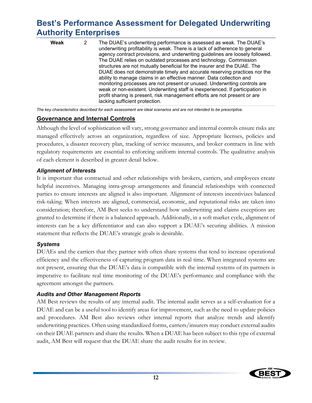| Weak | The DUAE's underwriting performance is assessed as weak. The DUAE's<br>underwriting profitability is weak. There is a lack of adherence to general<br>agency contract provisions, and underwriting guidelines are loosely followed.<br>The DUAE relies on outdated processes and technology. Commission<br>structures are not mutually beneficial for the insurer and the DUAE. The<br>DUAE does not demonstrate timely and accurate reserving practices nor the<br>ability to manage claims in an effective manner. Data collection and<br>monitoring processes are not present or unused. Underwriting controls are<br>weak or non-existent. Underwriting staff is inexperienced. If participation in<br>profit sharing is present, risk management efforts are not present or are |
|------|--------------------------------------------------------------------------------------------------------------------------------------------------------------------------------------------------------------------------------------------------------------------------------------------------------------------------------------------------------------------------------------------------------------------------------------------------------------------------------------------------------------------------------------------------------------------------------------------------------------------------------------------------------------------------------------------------------------------------------------------------------------------------------------|
|      | lacking sufficient protection.                                                                                                                                                                                                                                                                                                                                                                                                                                                                                                                                                                                                                                                                                                                                                       |

*The key characteristics described for each assessment are ideal scenarios and are not intended to be prescriptive.* 

### **Governance and Internal Controls**

Although the level of sophistication will vary, strong governance and internal controls ensure risks are managed effectively across an organization, regardless of size. Appropriate licenses, policies and procedures, a disaster recovery plan, tracking of service measures, and broker contracts in line with regulatory requirements are essential to enforcing uniform internal controls. The qualitative analysis of each element is described in greater detail below.

### *Alignment of Interests*

It is important that contractual and other relationships with brokers, carriers, and employees create helpful incentives. Managing intra-group arrangements and financial relationships with connected parties to ensure interests are aligned is also important. Alignment of interests incentivizes balanced risk-taking. When interests are aligned, commercial, economic, and reputational risks are taken into consideration; therefore, AM Best seeks to understand how underwriting and claims exceptions are granted to determine if there is a balanced approach. Additionally, in a soft market cycle, alignment of interests can be a key differentiator and can also support a DUAE's securing abilities. A mission statement that reflects the DUAE's strategic goals is desirable.

### *Systems*

DUAEs and the carriers that they partner with often share systems that tend to increase operational efficiency and the effectiveness of capturing program data in real time. When integrated systems are not present, ensuring that the DUAE's data is compatible with the internal systems of its partners is imperative to facilitate real time monitoring of the DUAE's performance and compliance with the agreement amongst the partners.

### *Audits and Other Management Reports*

AM Best reviews the results of any internal audit. The internal audit serves as a self-evaluation for a DUAE and can be a useful tool to identify areas for improvement, such as the need to update policies and procedures. AM Best also reviews other internal reports that analyze trends and identify underwriting practices. Often using standardized forms, carriers/insurers may conduct external audits on their DUAE partners and share the results. When a DUAE has been subject to this type of external audit, AM Best will request that the DUAE share the audit results for its review.

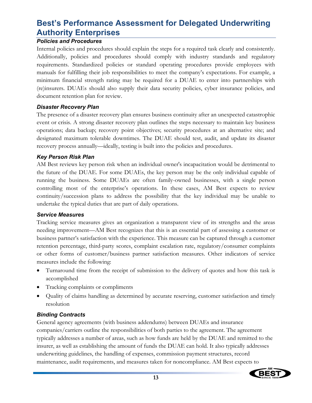### *Policies and Procedures*

Internal policies and procedures should explain the steps for a required task clearly and consistently. Additionally, policies and procedures should comply with industry standards and regulatory requirements. Standardized policies or standard operating procedures provide employees with manuals for fulfilling their job responsibilities to meet the company's expectations. For example, a minimum financial strength rating may be required for a DUAE to enter into partnerships with (re)insurers. DUAEs should also supply their data security policies, cyber insurance policies, and document retention plan for review.

### *Disaster Recovery Plan*

The presence of a disaster recovery plan ensures business continuity after an unexpected catastrophic event or crisis. A strong disaster recovery plan outlines the steps necessary to maintain key business operations; data backup; recovery point objectives; security procedures at an alternative site; and designated maximum tolerable downtimes. The DUAE should test, audit, and update its disaster recovery process annually—ideally, testing is built into the policies and procedures.

### *Key Person Risk Plan*

AM Best reviews key person risk when an individual owner's incapacitation would be detrimental to the future of the DUAE. For some DUAEs, the key person may be the only individual capable of running the business. Some DUAEs are often family-owned businesses, with a single person controlling most of the enterprise's operations. In these cases, AM Best expects to review continuity/succession plans to address the possibility that the key individual may be unable to undertake the typical duties that are part of daily operations.

### *Service Measures*

Tracking service measures gives an organization a transparent view of its strengths and the areas needing improvement—AM Best recognizes that this is an essential part of assessing a customer or business partner's satisfaction with the experience. This measure can be captured through a customer retention percentage, third-party scores, complaint escalation rate, regulatory/consumer complaints or other forms of customer/business partner satisfaction measures. Other indicators of service measures include the following:

- Turnaround time from the receipt of submission to the delivery of quotes and how this task is accomplished
- Tracking complaints or compliments
- Quality of claims handling as determined by accurate reserving, customer satisfaction and timely resolution

### *Binding Contracts*

General agency agreements (with business addendums) between DUAEs and insurance companies/carriers outline the responsibilities of both parties to the agreement. The agreement typically addresses a number of areas, such as how funds are held by the DUAE and remitted to the insurer, as well as establishing the amount of funds the DUAE can hold. It also typically addresses underwriting guidelines, the handling of expenses, commission payment structures, record maintenance, audit requirements, and measures taken for noncompliance. AM Best expects to

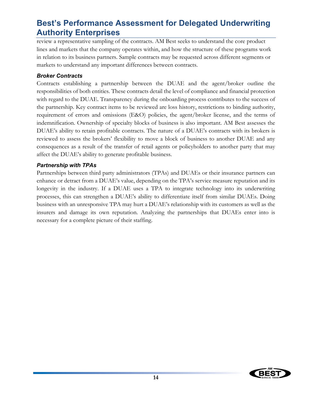review a representative sampling of the contracts. AM Best seeks to understand the core product lines and markets that the company operates within, and how the structure of these programs work in relation to its business partners. Sample contracts may be requested across different segments or markets to understand any important differences between contracts.

### *Broker Contracts*

Contracts establishing a partnership between the DUAE and the agent/broker outline the responsibilities of both entities. These contracts detail the level of compliance and financial protection with regard to the DUAE. Transparency during the onboarding process contributes to the success of the partnership. Key contract items to be reviewed are loss history, restrictions to binding authority, requirement of errors and omissions (E&O) policies, the agent/broker license, and the terms of indemnification. Ownership of specialty blocks of business is also important. AM Best assesses the DUAE's ability to retain profitable contracts. The nature of a DUAE's contracts with its brokers is reviewed to assess the brokers' flexibility to move a block of business to another DUAE and any consequences as a result of the transfer of retail agents or policyholders to another party that may affect the DUAE's ability to generate profitable business.

### *Partnership with TPAs*

Partnerships between third party administrators (TPAs) and DUAEs or their insurance partners can enhance or detract from a DUAE's value, depending on the TPA's service measure reputation and its longevity in the industry. If a DUAE uses a TPA to integrate technology into its underwriting processes, this can strengthen a DUAE's ability to differentiate itself from similar DUAEs. Doing business with an unresponsive TPA may hurt a DUAE's relationship with its customers as well as the insurers and damage its own reputation. Analyzing the partnerships that DUAEs enter into is necessary for a complete picture of their staffing.

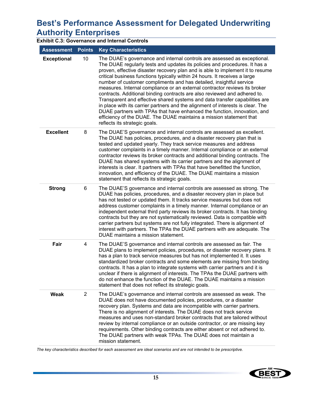|                    | <b>Exhibit C.3: Governance and Internal Controls</b> |                                                                                                                                                                                                                                                                                                                                                                                                                                                                                                                                                                                                                                                                                                                                                                                                                                                                                                                |  |  |  |  |  |
|--------------------|------------------------------------------------------|----------------------------------------------------------------------------------------------------------------------------------------------------------------------------------------------------------------------------------------------------------------------------------------------------------------------------------------------------------------------------------------------------------------------------------------------------------------------------------------------------------------------------------------------------------------------------------------------------------------------------------------------------------------------------------------------------------------------------------------------------------------------------------------------------------------------------------------------------------------------------------------------------------------|--|--|--|--|--|
| <b>Assessment</b>  | <b>Points</b>                                        | <b>Key Characteristics</b>                                                                                                                                                                                                                                                                                                                                                                                                                                                                                                                                                                                                                                                                                                                                                                                                                                                                                     |  |  |  |  |  |
| <b>Exceptional</b> | 10                                                   | The DUAE's governance and internal controls are assessed as exceptional.<br>The DUAE regularly tests and updates its policies and procedures. It has a<br>proven, effective disaster recovery plan and is able to implement it to resume<br>critical business functions typically within 24 hours. It receives a large<br>number of customer compliments and has detailed, insightful service<br>measures. Internal compliance or an external contractor reviews its broker<br>contracts. Additional binding contracts are also reviewed and adhered to.<br>Transparent and effective shared systems and data transfer capabilities are<br>in place with its carrier partners and the alignment of interests is clear. The<br>DUAE partners with TPAs that have enhanced the function, innovation, and<br>efficiency of the DUAE. The DUAE maintains a mission statement that<br>reflects its strategic goals. |  |  |  |  |  |
| <b>Excellent</b>   | 8                                                    | The DUAE'S governance and internal controls are assessed as excellent.<br>The DUAE has policies, procedures, and a disaster recovery plan that is<br>tested and updated yearly. They track service measures and address<br>customer complaints in a timely manner. Internal compliance or an external<br>contractor reviews its broker contracts and additional binding contracts. The<br>DUAE has shared systems with its carrier partners and the alignment of<br>interests is clear. It partners with TPAs that have benefitted the function,<br>innovation, and efficiency of the DUAE. The DUAE maintains a mission<br>statement that reflects its strategic goals.                                                                                                                                                                                                                                       |  |  |  |  |  |
| <b>Strong</b>      | 6                                                    | The DUAE'S governance and internal controls are assessed as strong. The<br>DUAE has policies, procedures, and a disaster recovery plan in place but<br>has not tested or updated them. It tracks service measures but does not<br>address customer complaints in a timely manner. Internal compliance or an<br>independent external third party reviews its broker contracts. It has binding<br>contracts but they are not systematically reviewed. Data is compatible with<br>carrier partners but systems are not fully integrated. There is alignment of<br>interest with partners. The TPAs the DUAE partners with are adequate. The<br>DUAE maintains a mission statement.                                                                                                                                                                                                                                |  |  |  |  |  |
| Fair               | 4                                                    | The DUAE'S governance and internal controls are assessed as fair. The<br>DUAE plans to implement policies, procedures, or disaster recovery plans. It<br>has a plan to track service measures but has not implemented it. It uses<br>standardized broker contracts and some elements are missing from binding<br>contracts. It has a plan to integrate systems with carrier partners and it is<br>unclear if there is alignment of interests. The TPAs the DUAE partners with<br>do not enhance the function of the DUAE. The DUAE maintains a mission<br>statement that does not reflect its strategic goals.                                                                                                                                                                                                                                                                                                 |  |  |  |  |  |
| Weak               | $\overline{2}$                                       | The DUAE's governance and internal controls are assessed as weak. The<br>DUAE does not have documented policies, procedures, or a disaster<br>recovery plan. Systems and data are incompatible with carrier partners.<br>There is no alignment of interests. The DUAE does not track service<br>measures and uses non-standard broker contracts that are tailored without<br>review by internal compliance or an outside contractor, or are missing key<br>requirements. Other binding contracts are either absent or not adhered to.<br>The DUAE partners with weak TPAs. The DUAE does not maintain a<br>mission statement.                                                                                                                                                                                                                                                                                  |  |  |  |  |  |

*The key characteristics described for each assessment are ideal scenarios and are not intended to be prescriptive.* 

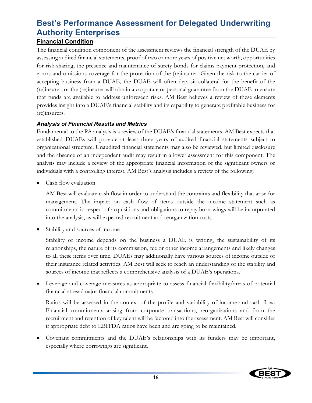### **Financial Condition**

The financial condition component of the assessment reviews the financial strength of the DUAE by assessing audited financial statements, proof of two or more years of positive net worth, opportunities for risk-sharing, the presence and maintenance of surety bonds for claims payment protection, and errors and omissions coverage for the protection of the (re)insurer. Given the risk to the carrier of accepting business from a DUAE, the DUAE will often deposit collateral for the benefit of the (re)insurer, or the (re)insurer will obtain a corporate or personal guarantee from the DUAE to ensure that funds are available to address unforeseen risks. AM Best believes a review of these elements provides insight into a DUAE's financial stability and its capability to generate profitable business for (re)insurers.

### *Analysis of Financial Results and Metrics*

Fundamental to the PA analysis is a review of the DUAE's financial statements. AM Best expects that established DUAEs will provide at least three years of audited financial statements subject to organizational structure. Unaudited financial statements may also be reviewed, but limited disclosure and the absence of an independent audit may result in a lower assessment for this component. The analysis may include a review of the appropriate financial information of the significant owners or individuals with a controlling interest. AM Best's analysis includes a review of the following:

Cash flow evaluation

AM Best will evaluate cash flow in order to understand the contraints and flexibility that arise for management. The impact on cash flow of items outside the income statement such as commitments in respect of acquisitions and obligations to repay borrowings will be incorporated into the analysis, as will expected recruitment and reorganization costs.

Stability and sources of income

Stability of income depends on the business a DUAE is writing, the sustainability of its relationships, the nature of its commission, fee or other income arrangements and likely changes to all these items over time. DUAEs may additionally have various sources of income outside of their insurance related activities. AM Best will seek to reach an understanding of the stability and sources of income that reflects a comprehensive analysis of a DUAE's operations.

 Leverage and coverage measures as appropriate to assess financial flexibility/areas of potential financial stress/major financial commitments

Ratios will be assessed in the context of the profile and variability of income and cash flow. Financial commitments arising from corporate transactions, reorganizations and from the recruitment and retention of key talent will be factored into the assessment. AM Best will consider if appropriate debt to EBITDA ratios have been and are going to be maintained.

 Covenant commitments and the DUAE's relationships with its funders may be important, especially where borrowings are significant.

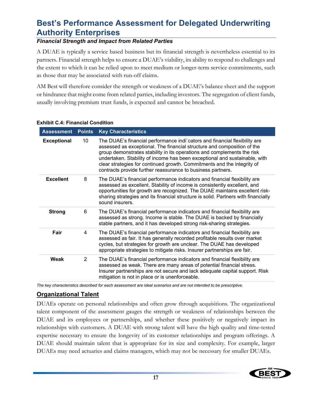### *Financial Strength and Impact from Related Parties*

A DUAE is typically a service based business but its financial strength is nevertheless essential to its partners. Financial strength helps to ensure a DUAE's viability, its ability to respond to challenges and the extent to which it can be relied upon to meet medium or longer-term service commitments, such as those that may be associated with run-off claims.

AM Best will therefore consider the strength or weakness of a DUAE's balance sheet and the support or hindrance that might come from related parties, including investors. The segregation of client funds, usually involving premium trust funds, is expected and cannot be breached.

| <b>Assessment</b>                        | <b>Points</b> | <b>Key Characteristics</b>                                                                                                                                                                                                                                                                                                                                                                                                                               |
|------------------------------------------|---------------|----------------------------------------------------------------------------------------------------------------------------------------------------------------------------------------------------------------------------------------------------------------------------------------------------------------------------------------------------------------------------------------------------------------------------------------------------------|
| <b>Exceptional</b>                       | 10            | The DUAE's financial performance indi`cators and financial flexibility are<br>assessed as exceptional. The financial structure and composition of the<br>group demonstrates stability in its operations and complements the risk<br>undertaken. Stability of income has been exceptional and sustainable, with<br>clear strategies for continued growth. Commitments and the integrity of<br>contracts provide further reassurance to business partners. |
| <b>Excellent</b><br>8<br>sound insurers. |               | The DUAE's financial performance indicators and financial flexibility are<br>assessed as excellent. Stability of income is consistently excellent, and<br>opportunities for growth are recognized. The DUAE maintains excellent risk-<br>sharing strategies and its financial structure is solid. Partners with financially                                                                                                                              |
| <b>Strong</b>                            | 6             | The DUAE's financial performance indicators and financial flexibility are<br>assessed as strong. Income is stable. The DUAE is backed by financially<br>stable partners, and it has developed strong risk-sharing strategies.                                                                                                                                                                                                                            |
| Fair                                     | 4             | The DUAE's financial performance indicators and financial flexibility are<br>assessed as fair. It has generally recorded profitable results over market<br>cycles, but strategies for growth are unclear. The DUAE has developed<br>appropriate strategies to mitigate risks. Insurer partnerships are fair.                                                                                                                                             |
| Weak                                     | $\mathcal{P}$ | The DUAE's financial performance indicators and financial flexibility are<br>assessed as weak. There are many areas of potential financial stress.<br>Insurer partnerships are not secure and lack adequate capital support. Risk<br>mitigation is not in place or is unenforceable.                                                                                                                                                                     |

#### **Exhibit C.4: Financial Condition**

*The key characteristics described for each assessment are ideal scenarios and are not intended to be prescriptive.* 

### **Organizational Talent**

DUAEs operate on personal relationships and often grow through acquisitions. The organizational talent component of the assessment gauges the strength or weakness of relationships between the DUAE and its employees or partnerships, and whether these positively or negatively impact its relationships with customers. A DUAE with strong talent will have the high quality and time-tested expertise necessary to ensure the longevity of its customer relationships and program offerings. A DUAE should maintain talent that is appropriate for its size and complexity. For example, larger DUAEs may need actuaries and claims managers, which may not be necessary for smaller DUAEs.

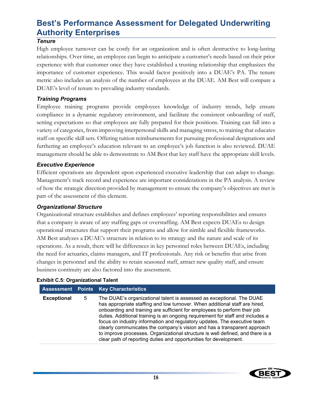### *Tenure*

High employee turnover can be costly for an organization and is often destructive to long-lasting relationships. Over time, an employee can begin to anticipate a customer's needs based on their prior experience with that customer once they have established a trusting relationship that emphasizes the importance of customer experience. This would factor positively into a DUAE's PA. The tenure metric also includes an analysis of the number of employees at the DUAE. AM Best will compare a DUAE's level of tenure to prevailing industry standards.

### *Training Programs*

Employee training programs provide employees knowledge of industry trends, help ensure compliance in a dynamic regulatory environment, and facilitate the consistent onboarding of staff, setting expectations so that employees are fully prepared for their positions. Training can fall into a variety of categories, from improving interpersonal skills and managing stress, to training that educates staff on specific skill sets. Offering tuition reimbursements for pursuing professional designations and furthering an employee's education relevant to an employee's job function is also reviewed. DUAE management should be able to demonstrate to AM Best that key staff have the appropriate skill levels.

### *Executive Experience*

Efficient operations are dependent upon experienced executive leadership that can adapt to change. Management's track record and experience are important considerations in the PA analysis. A review of how the strategic direction provided by management to ensure the company's objectives are met is part of the assessment of this element.

### *Organizational Structure*

Organizational structure establishes and defines employees' reporting responsibilities and ensures that a company is aware of any staffing gaps or overstaffing. AM Best expects DUAEs to design operational structures that support their programs and allow for nimble and flexible frameworks. AM Best analyzes a DUAE's structure in relation to its strategy and the nature and scale of its operations. As a result, there will be differences in key personnel roles between DUAEs, including the need for actuaries, claims managers, and IT professionals. Any risk or benefits that arise from changes in personnel and the ability to retain seasoned staff, attract new quality staff, and ensure business continuity are also factored into the assessment.

#### **Exhibit C.5: Organizational Talent**

|                    |   | <b>Assessment Points Key Characteristics</b>                                                                                                                                                                                                                                                                                                                                                                                                                                                                                                                                                                                       |
|--------------------|---|------------------------------------------------------------------------------------------------------------------------------------------------------------------------------------------------------------------------------------------------------------------------------------------------------------------------------------------------------------------------------------------------------------------------------------------------------------------------------------------------------------------------------------------------------------------------------------------------------------------------------------|
| <b>Exceptional</b> | 5 | The DUAE's organizational talent is assessed as exceptional. The DUAE<br>has appropriate staffing and low turnover. When additional staff are hired,<br>onboarding and training are sufficient for employees to perform their job<br>duties. Additional training is an ongoing requirement for staff and includes a<br>focus on industry information and regulatory updates. The executive team<br>clearly communicates the company's vision and has a transparent approach<br>to improve processes. Organizational structure is well defined, and there is a<br>clear path of reporting duties and opportunities for development. |

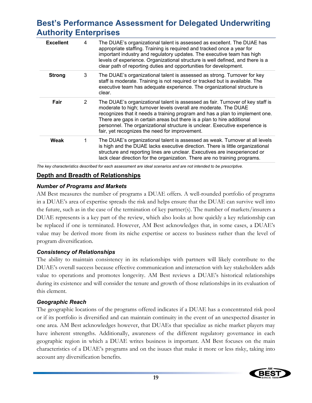| <b>Excellent</b> | 4  | The DUAE's organizational talent is assessed as excellent. The DUAE has<br>appropriate staffing. Training is required and tracked once a year for<br>important industry and regulatory updates. The executive team has high<br>levels of experience. Organizational structure is well defined, and there is a<br>clear path of reporting duties and opportunities for development.                                                            |
|------------------|----|-----------------------------------------------------------------------------------------------------------------------------------------------------------------------------------------------------------------------------------------------------------------------------------------------------------------------------------------------------------------------------------------------------------------------------------------------|
| <b>Strong</b>    | 3  | The DUAE's organizational talent is assessed as strong. Turnover for key<br>staff is moderate. Training is not required or tracked but is available. The<br>executive team has adequate experience. The organizational structure is<br>clear.                                                                                                                                                                                                 |
| Fair             | 2  | The DUAE's organizational talent is assessed as fair. Turnover of key staff is<br>moderate to high; turnover levels overall are moderate. The DUAE<br>recognizes that it needs a training program and has a plan to implement one.<br>There are gaps in certain areas but there is a plan to hire additional<br>personnel. The organizational structure is unclear. Executive experience is<br>fair, yet recognizes the need for improvement. |
| Weak             | 1. | The DUAE's organizational talent is assessed as weak. Turnover at all levels<br>is high and the DUAE lacks executive direction. There is little organizational<br>structure and reporting lines are unclear. Executives are inexperienced or<br>lack clear direction for the organization. There are no training programs.                                                                                                                    |
|                  |    |                                                                                                                                                                                                                                                                                                                                                                                                                                               |

*The key characteristics described for each assessment are ideal scenarios and are not intended to be prescriptive.* 

#### **Depth and Breadth of Relationships**

#### *Number of Programs and Markets*

AM Best measures the number of programs a DUAE offers. A well-rounded portfolio of programs in a DUAE's area of expertise spreads the risk and helps ensure that the DUAE can survive well into the future, such as in the case of the termination of key partner(s). The number of markets/insurers a DUAE represents is a key part of the review, which also looks at how quickly a key relationship can be replaced if one is terminated. However, AM Best acknowledges that, in some cases, a DUAE's value may be derived more from its niche expertise or access to business rather than the level of program diversification.

### *Consistency of Relationships*

The ability to maintain consistency in its relationships with partners will likely contribute to the DUAE's overall success because effective communication and interaction with key stakeholders adds value to operations and promotes longevity. AM Best reviews a DUAE's historical relationships during its existence and will consider the tenure and growth of those relationships in its evaluation of this element.

#### *Geographic Reach*

The geographic locations of the programs offered indicates if a DUAE has a concentrated risk pool or if its portfolio is diversified and can maintain continuity in the event of an unexpected disaster in one area. AM Best acknowledges however, that DUAEs that specialize as niche market players may have inherent strengths. Additionally, awareness of the different regulatory governance in each geographic region in which a DUAE writes business is important. AM Best focuses on the main characteristics of a DUAE's programs and on the isuues that make it more or less risky, taking into account any diversification benefits.

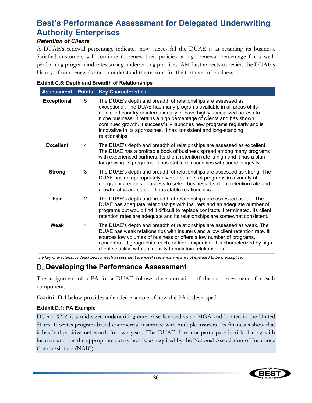### *Retention of Clients*

A DUAE's renewal percentage indicates how successful the DUAE is at retaining its business. Satisfied customers will continue to renew their policies; a high renewal percentage for a wellperforming program indicates strong underwriting practices. AM Best expects to review the DUAE's history of non-renewals and to understand the reasons for the turnover of business.

| <b>Assessment</b>                                                                                                                                                                                                                                                                                                                          | <b>Points</b> | <b>Key Characteristics</b>                                                                                                                                                                                                                                                                                                                                                                                                                    |
|--------------------------------------------------------------------------------------------------------------------------------------------------------------------------------------------------------------------------------------------------------------------------------------------------------------------------------------------|---------------|-----------------------------------------------------------------------------------------------------------------------------------------------------------------------------------------------------------------------------------------------------------------------------------------------------------------------------------------------------------------------------------------------------------------------------------------------|
| <b>Exceptional</b><br>5<br>relationships.                                                                                                                                                                                                                                                                                                  |               | The DUAE's depth and breadth of relationships are assessed as<br>exceptional. The DUAE has many programs available in all areas of its<br>domiciled country or internationally or have highly specialized access to<br>niche business. It retains a high percentage of clients and has shown<br>continued growth. It successfully launches new programs regularly and is<br>innovative in its approaches. It has consistent and long-standing |
| <b>Excellent</b><br>The DUAE's depth and breadth of relationships are assessed as excellent.<br>4<br>The DUAE has a profitable book of business spread among many programs<br>with experienced partners. Its client retention rate is high and it has a plan<br>for growing its programs. It has stable relationships with some longevity. |               |                                                                                                                                                                                                                                                                                                                                                                                                                                               |
| 3<br><b>Strong</b><br>growth rates are stable. It has stable relationships.<br>Fair<br>$\overline{2}$<br>Weak<br>1                                                                                                                                                                                                                         |               | The DUAE's depth and breadth of relationships are assessed as strong. The<br>DUAE has an appropriately diverse number of programs in a variety of<br>geographic regions or access to select business. Its client retention rate and                                                                                                                                                                                                           |
|                                                                                                                                                                                                                                                                                                                                            |               | The DUAE's depth and breadth of relationships are assessed as fair. The<br>DUAE has adequate relationships with insurers and an adequate number of<br>programs but would find it difficult to replace contracts if terminated. Its client<br>retention rates are adequate and its relationships are somewhat consistent.                                                                                                                      |
|                                                                                                                                                                                                                                                                                                                                            |               | The DUAE's depth and breadth of relationships are assessed as weak. The<br>DUAE has weak relationships with insurers and a low client retention rate. It<br>sources low volumes of business or offers a low number of programs,<br>concentrated geographic reach, or lacks expertise. It is characterized by high<br>client volatility, with an inability to maintain relationships.                                                          |

|  |  |  | <b>Exhibit C.6: Depth and Breadth of Relationships</b> |  |
|--|--|--|--------------------------------------------------------|--|
|  |  |  |                                                        |  |

*The key characteristics described for each assessment are ideal scenarios and are not intended to be prescriptive.* 

### **Developing the Performance Assessment**

The assignment of a PA for a DUAE follows the summation of the sub-assessments for each component.

**Exhibit D.1** below provides a detailed example of how the PA is developed.

#### **Exhibit D.1: PA Example**

DUAE XYZ is a mid-sized underwriting enterprise licensed as an MGA and located in the United States. It writes program-based commercial insurance with multiple insurers. Its financials show that it has had positive net worth for two years. The DUAE does not participate in risk-sharing with insurers and has the appropriate surety bonds, as required by the National Association of Insurance Commissioners (NAIC).

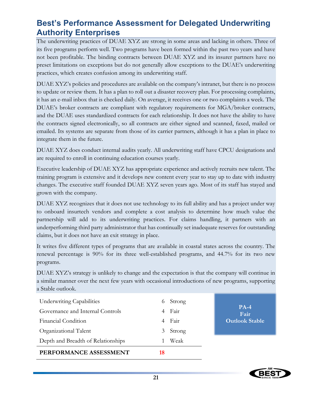The underwriting practices of DUAE XYZ are strong in some areas and lacking in others. Three of its five programs perform well. Two programs have been formed within the past two years and have not been profitable. The binding contracts between DUAE XYZ and its insurer partners have no preset limitations on exceptions but do not generally allow exceptions to the DUAE's underwriting practices, which creates confusion among its underwriting staff.

DUAE XYZ's policies and procedures are available on the company's intranet, but there is no process to update or review them. It has a plan to roll out a disaster recovery plan. For processing complaints, it has an e-mail inbox that is checked daily. On average, it receives one or two complaints a week. The DUAE's broker contracts are compliant with regulatory requirements for MGA/broker contracts, and the DUAE uses standardized contracts for each relationship. It does not have the ability to have the contracts signed electronically, so all contracts are either signed and scanned, faxed, mailed or emailed. Its systems are separate from those of its carrier partners, although it has a plan in place to integrate them in the future.

DUAE XYZ does conduct internal audits yearly. All underwriting staff have CPCU designations and are required to enroll in continuing education courses yearly.

Executive leadership of DUAE XYZ has appropriate experience and actively recruits new talent. The training program is extensive and it develops new content every year to stay up to date with industry changes. The executive staff founded DUAE XYZ seven years ago. Most of its staff has stayed and grown with the company.

DUAE XYZ recognizes that it does not use technology to its full ability and has a project under way to onboard insurtech vendors and complete a cost analysis to determine how much value the partnership will add to its underwriting practices. For claims handling, it partners with an underperforming third party administrator that has continually set inadequate reserves for outstanding claims, but it does not have an exit strategy in place.

It writes five different types of programs that are available in coastal states across the country. The renewal percentage is 90% for its three well-established programs, and 44.7% for its two new programs.

DUAE XYZ's strategy is unlikely to change and the expectation is that the company will continue in a similar manner over the next few years with occasional introductions of new programs, supporting a Stable outlook.

| <b>Underwriting Capabilities</b>   | $\sigma$ | Strong |                       |
|------------------------------------|----------|--------|-----------------------|
| Governance and Internal Controls   | 4        | Fair   | $PA-4$<br>Fair        |
| Financial Condition                | 4        | Fair   | <b>Outlook Stable</b> |
| Organizational Talent              | 3        | Strong |                       |
| Depth and Breadth of Relationships |          | Weak   |                       |
| PERFORMANCE ASSESSMENT             | 18       |        |                       |

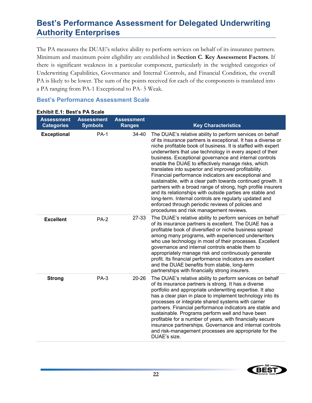The PA measures the DUAE's relative ability to perform services on behalf of its insurance partners. Minimum and maximum point eligibility are established in **Section C**. **Key Assessment Factors**. If there is significant weakness in a particular component, particularly in the weighted categories of Underwriting Capabilities, Governance and Internal Controls, and Financial Condition, the overall PA is likely to be lower. The sum of the points received for each of the components is translated into a PA ranging from PA-1 Exceptional to PA- 5 Weak.

#### **Best's Performance Assessment Scale**

| <b>Assessment</b><br><b>Categories</b> | <b>Assessment</b><br><b>Symbols</b> | <b>Assessment</b><br><b>Ranges</b> | <b>Key Characteristics</b>                                                                                                                                                                                                                                                                                                                                                                                                                                                                                                                                                                                                                                                                                                                                                                                                                    |
|----------------------------------------|-------------------------------------|------------------------------------|-----------------------------------------------------------------------------------------------------------------------------------------------------------------------------------------------------------------------------------------------------------------------------------------------------------------------------------------------------------------------------------------------------------------------------------------------------------------------------------------------------------------------------------------------------------------------------------------------------------------------------------------------------------------------------------------------------------------------------------------------------------------------------------------------------------------------------------------------|
| <b>Exceptional</b>                     | <b>PA-1</b>                         | 34-40                              | The DUAE's relative ability to perform services on behalf<br>of its insurance partners is exceptional. It has a diverse or<br>niche profitable book of business. It is staffed with expert<br>underwriters that use technology in every aspect of their<br>business. Exceptional governance and internal controls<br>enable the DUAE to effectively manage risks, which<br>translates into superior and improved profitability.<br>Financial performance indicators are exceptional and<br>sustainable, with a clear path towards continued growth. It<br>partners with a broad range of strong, high profile insurers<br>and its relationships with outside parties are stable and<br>long-term. Internal controls are regularly updated and<br>enforced through periodic reviews of policies and<br>procedures and risk management reviews. |
| <b>Excellent</b>                       | $PA-2$                              | 27-33                              | The DUAE's relative ability to perform services on behalf<br>of its insurance partners is excellent. The DUAE has a<br>profitable book of diversified or niche business spread<br>among many programs, with experienced underwriters<br>who use technology in most of their processes. Excellent<br>governance and internal controls enable them to<br>appropriately manage risk and continuously generate<br>profit. Its financial performance indicators are excellent<br>and the DUAE benefits from stable, long-term<br>partnerships with financially strong insurers.                                                                                                                                                                                                                                                                    |
| <b>Strong</b>                          | $PA-3$                              | $20 - 26$                          | The DUAE's relative ability to perform services on behalf<br>of its insurance partners is strong. It has a diverse<br>portfolio and appropriate underwriting expertise. It also<br>has a clear plan in place to implement technology into its<br>processes or integrate shared systems with carrier<br>partners. Financial performance indicators are stable and<br>sustainable. Programs perform well and have been<br>profitable for a number of years, with financially secure<br>insurance partnerships. Governance and internal controls<br>and risk-management processes are appropriate for the<br>DUAE's size.                                                                                                                                                                                                                        |

### **Exhibit E.1: Best's PA Scale**

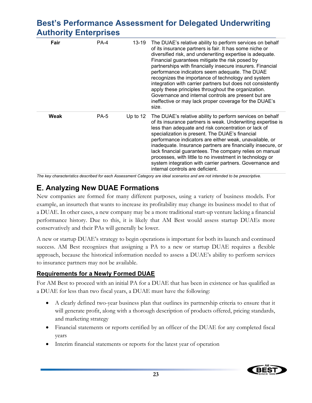| Fair | <b>PA-4</b> | 13-19      | The DUAE's relative ability to perform services on behalf<br>of its insurance partners is fair. It has some niche or<br>diversified risk, and underwriting expertise is adequate.<br>Financial guarantees mitigate the risk posed by<br>partnerships with financially insecure insurers. Financial<br>performance indicators seem adequate. The DUAE<br>recognizes the importance of technology and system<br>integration with carrier partners but does not consistently<br>apply these principles throughout the organization.<br>Governance and internal controls are present but are<br>ineffective or may lack proper coverage for the DUAE's<br>size. |
|------|-------------|------------|-------------------------------------------------------------------------------------------------------------------------------------------------------------------------------------------------------------------------------------------------------------------------------------------------------------------------------------------------------------------------------------------------------------------------------------------------------------------------------------------------------------------------------------------------------------------------------------------------------------------------------------------------------------|
| Weak | <b>PA-5</b> | Up to $12$ | The DUAE's relative ability to perform services on behalf<br>of its insurance partners is weak. Underwriting expertise is<br>less than adequate and risk concentration or lack of<br>specialization is present. The DUAE's financial<br>performance indicators are either weak, unavailable, or<br>inadequate. Insurance partners are financially insecure, or<br>lack financial guarantees. The company relies on manual<br>processes, with little to no investment in technology or<br>system integration with carrier partners. Governance and<br>internal controls are deficient.                                                                       |

*The key characteristics described for each Assessment Category are ideal scenarios and are not intended to be prescriptive.* 

### **E. Analyzing New DUAE Formations**

New companies are formed for many different purposes, using a variety of business models. For example, an insurtech that wants to increase its profitability may change its business model to that of a DUAE. In other cases, a new company may be a more traditional start-up venture lacking a financial performance history. Due to this, it is likely that AM Best would assess startup DUAEs more conservatively and their PAs will generally be lower.

A new or startup DUAE's strategy to begin operations is important for both its launch and continued success. AM Best recognizes that assigning a PA to a new or startup DUAE requires a flexible approach, because the historical information needed to assess a DUAE's ability to perform services to insurance partners may not be available.

### **Requirements for a Newly Formed DUAE**

For AM Best to proceed with an initial PA for a DUAE that has been in existence or has qualified as a DUAE for less than two fiscal years, a DUAE must have the following:

- A clearly defined two-year business plan that outlines its partnership criteria to ensure that it will generate profit, along with a thorough description of products offered, pricing standards, and marketing strategy
- Financial statements or reports certified by an officer of the DUAE for any completed fiscal years
- Interim financial statements or reports for the latest year of operation

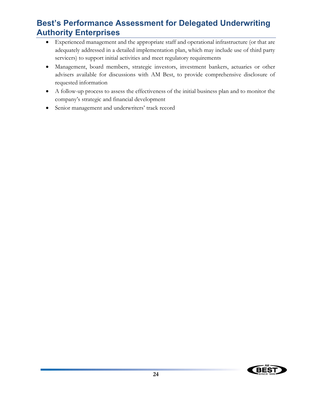- Experienced management and the appropriate staff and operational infrastructure (or that are adequately addressed in a detailed implementation plan, which may include use of third party servicers) to support initial activities and meet regulatory requirements
- Management, board members, strategic investors, investment bankers, actuaries or other advisers available for discussions with AM Best, to provide comprehensive disclosure of requested information
- A follow-up process to assess the effectiveness of the initial business plan and to monitor the company's strategic and financial development
- Senior management and underwriters' track record